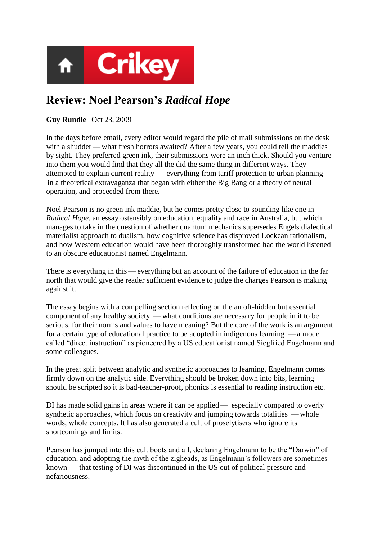

## **Review: Noel Pearson's** *Radical Hope*

## **Guy Rundle** | Oct 23, 2009

In the days before email, every editor would regard the pile of mail submissions on the desk with a shudder — what fresh horrors awaited? After a few years, you could tell the maddies by sight. They preferred green ink, their submissions were an inch thick. Should you venture into them you would find that they all the did the same thing in different ways. They attempted to explain current reality — everything from tariff protection to urban planning in a theoretical extravaganza that began with either the Big Bang or a theory of neural operation, and proceeded from there.

Noel Pearson is no green ink maddie, but he comes pretty close to sounding like one in *Radical Hope*, an essay ostensibly on education, equality and race in Australia, but which manages to take in the question of whether quantum mechanics supersedes Engels dialectical materialist approach to dualism, how cognitive science has disproved Lockean rationalism, and how Western education would have been thoroughly transformed had the world listened to an obscure educationist named Engelmann.

There is everything in this — everything but an account of the failure of education in the far north that would give the reader sufficient evidence to judge the charges Pearson is making against it.

The essay begins with a compelling section reflecting on the an oft-hidden but essential component of any healthy society — what conditions are necessary for people in it to be serious, for their norms and values to have meaning? But the core of the work is an argument for a certain type of educational practice to be adopted in indigenous learning — a mode called "direct instruction" as pioneered by a US educationist named Siegfried Engelmann and some colleagues.

In the great split between analytic and synthetic approaches to learning, Engelmann comes firmly down on the analytic side. Everything should be broken down into bits, learning should be scripted so it is bad-teacher-proof, phonics is essential to reading instruction etc.

DI has made solid gains in areas where it can be applied — especially compared to overly synthetic approaches, which focus on creativity and jumping towards totalities — whole words, whole concepts. It has also generated a cult of proselytisers who ignore its shortcomings and limits.

Pearson has jumped into this cult boots and all, declaring Engelmann to be the "Darwin" of education, and adopting the myth of the zigheads, as Engelmann"s followers are sometimes known — that testing of DI was discontinued in the US out of political pressure and nefariousness.